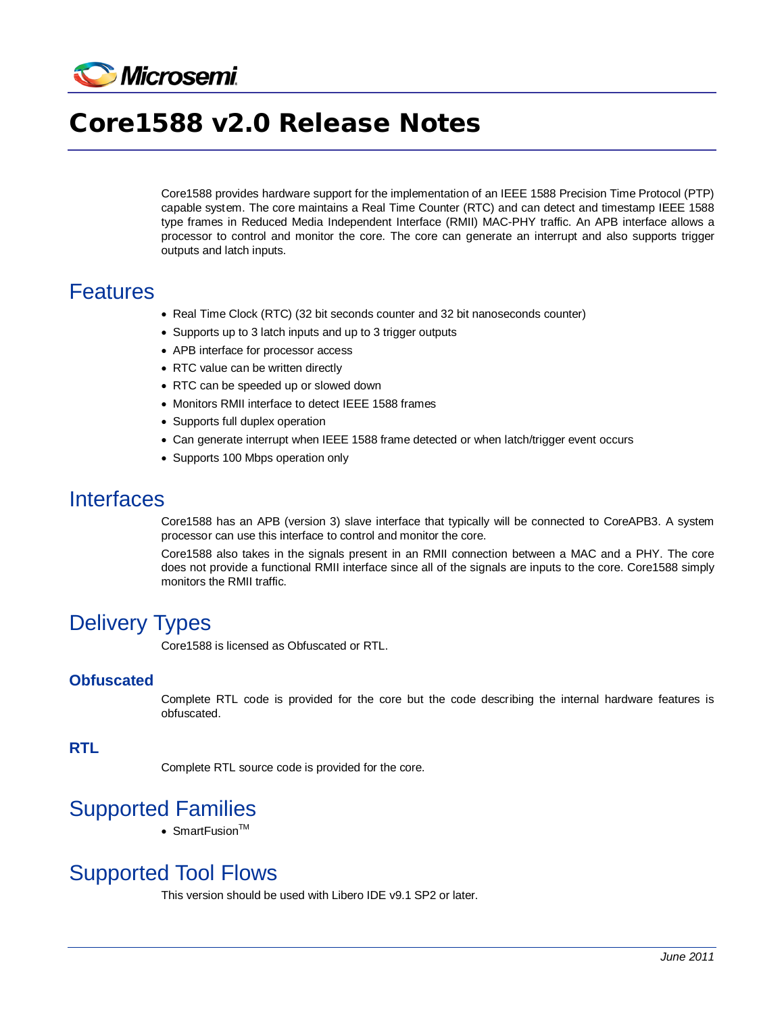

# Core1588 v2.0 Release Notes

Core1588 provides hardware support for the implementation of an IEEE 1588 Precision Time Protocol (PTP) capable system. The core maintains a Real Time Counter (RTC) and can detect and timestamp IEEE 1588 type frames in Reduced Media Independent Interface (RMII) MAC-PHY traffic. An APB interface allows a processor to control and monitor the core. The core can generate an interrupt and also supports trigger outputs and latch inputs.

#### **Features**

- Real Time Clock (RTC) (32 bit seconds counter and 32 bit nanoseconds counter)
- Supports up to 3 latch inputs and up to 3 trigger outputs
- APB interface for processor access
- RTC value can be written directly
- RTC can be speeded up or slowed down
- Monitors RMII interface to detect IEEE 1588 frames
- Supports full duplex operation
- Can generate interrupt when IEEE 1588 frame detected or when latch/trigger event occurs
- Supports 100 Mbps operation only

#### Interfaces

Core1588 has an APB (version 3) slave interface that typically will be connected to CoreAPB3. A system processor can use this interface to control and monitor the core.

Core1588 also takes in the signals present in an RMII connection between a MAC and a PHY. The core does not provide a functional RMII interface since all of the signals are inputs to the core. Core1588 simply monitors the RMII traffic.

## Delivery Types

Core1588 is licensed as Obfuscated or RTL.

#### **Obfuscated**

Complete RTL code is provided for the core but the code describing the internal hardware features is obfuscated.

#### **RTL**

Complete RTL source code is provided for the core.

## Supported Families

• SmartFusion $TM$ 

## Supported Tool Flows

This version should be used with Libero IDE v9.1 SP2 or later.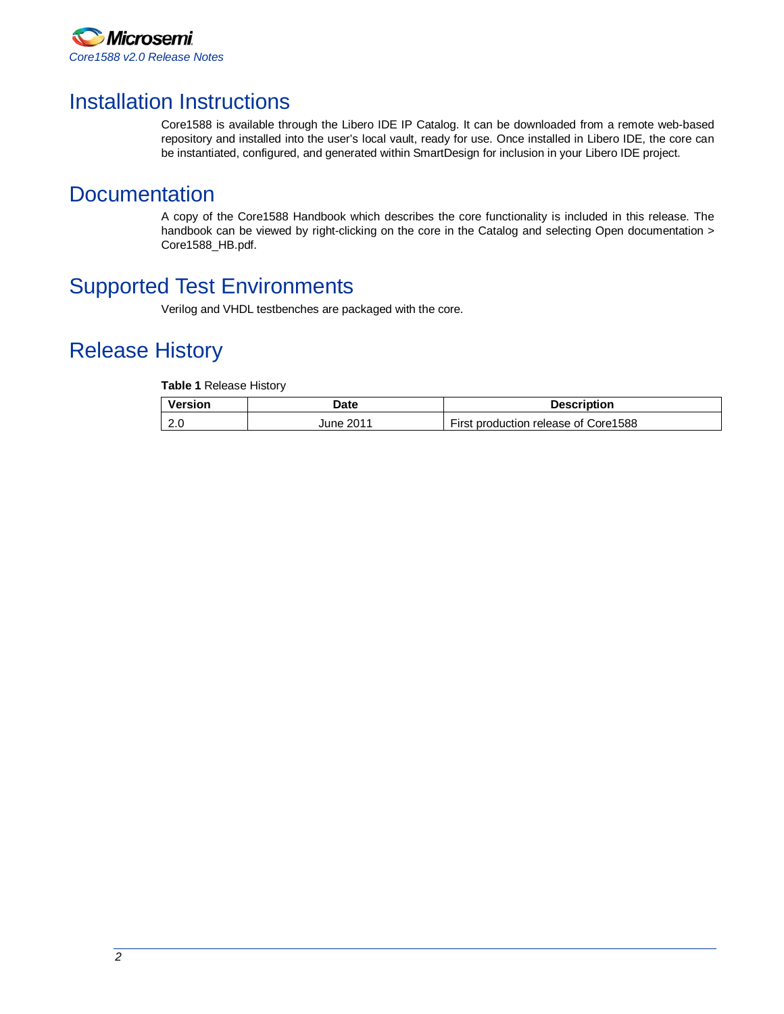

### Installation Instructions

Core1588 is available through the Libero IDE IP Catalog. It can be downloaded from a remote web-based repository and installed into the user's local vault, ready for use. Once installed in Libero IDE, the core can be instantiated, configured, and generated within SmartDesign for inclusion in your Libero IDE project.

#### **Documentation**

A copy of the Core1588 Handbook which describes the core functionality is included in this release. The handbook can be viewed by right-clicking on the core in the Catalog and selecting Open documentation > Core1588\_HB.pdf.

## Supported Test Environments

Verilog and VHDL testbenches are packaged with the core.

## Release History

**Table 1** Release History

| Version                     | Date      | <b>Description</b>                   |
|-----------------------------|-----------|--------------------------------------|
| $\sim$ $\sim$<br><b>4.U</b> | June 2011 | First production release of Core1588 |